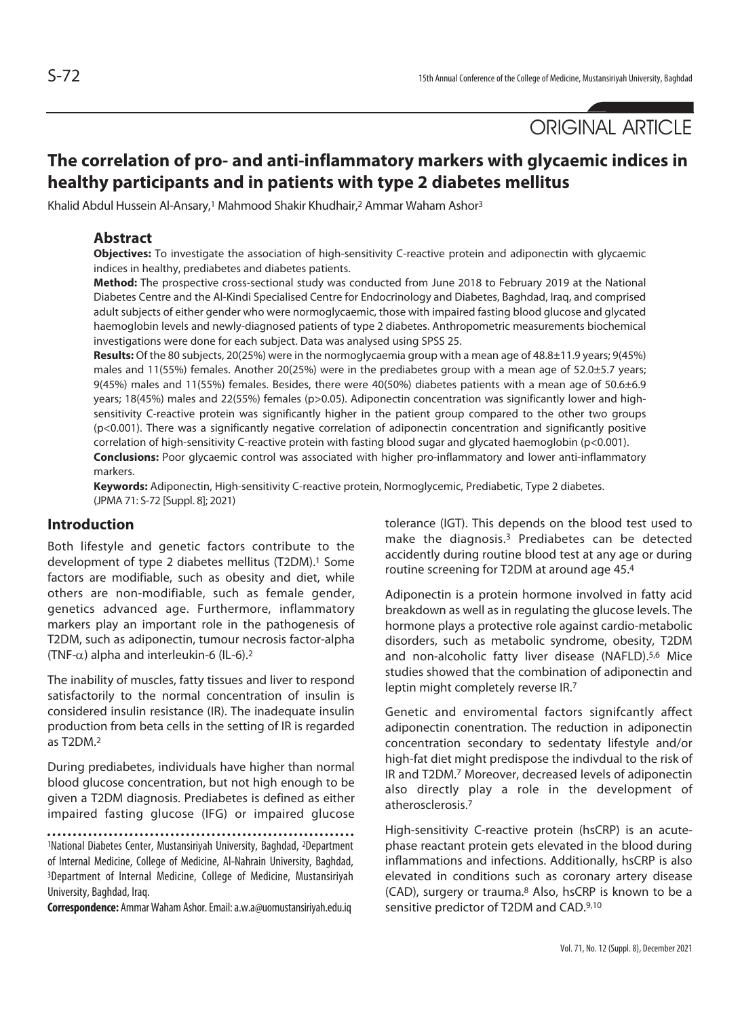ORIGINAL ARTICLE

# **The correlation of pro- and anti-inflammatory markers with glycaemic indices in healthy participants and in patients with type 2 diabetes mellitus**

Khalid Abdul Hussein Al-Ansary,<sup>1</sup> Mahmood Shakir Khudhair,<sup>2</sup> Ammar Waham Ashor<sup>3</sup>

#### **Abstract**

**Objectives:** To investigate the association of high-sensitivity C-reactive protein and adiponectin with glycaemic indices in healthy, prediabetes and diabetes patients.

**Method:** The prospective cross-sectional study was conducted from June 2018 to February 2019 at the National Diabetes Centre and the Al-Kindi Specialised Centre for Endocrinology and Diabetes, Baghdad, Iraq, and comprised adult subjects of either gender who were normoglycaemic, those with impaired fasting blood glucose and glycated haemoglobin levels and newly-diagnosed patients of type 2 diabetes. Anthropometric measurements biochemical investigations were done for each subject. Data was analysed using SPSS 25.

**Results:** Of the 80 subjects, 20(25%) were in the normoglycaemia group with a mean age of 48.8±11.9 years; 9(45%) males and 11(55%) females. Another 20(25%) were in the prediabetes group with a mean age of 52.0±5.7 years; 9(45%) males and 11(55%) females. Besides, there were 40(50%) diabetes patients with a mean age of 50.6±6.9 years; 18(45%) males and 22(55%) females (p>0.05). Adiponectin concentration was significantly lower and highsensitivity C-reactive protein was significantly higher in the patient group compared to the other two groups (p<0.001). There was a significantly negative correlation of adiponectin concentration and significantly positive correlation of high-sensitivity C-reactive protein with fasting blood sugar and glycated haemoglobin (p<0.001). **Conclusions:** Poor glycaemic control was associated with higher pro-inflammatory and lower anti-inflammatory markers.

**Keywords:** Adiponectin, High-sensitivity C-reactive protein, Normoglycemic, Prediabetic, Type 2 diabetes. (JPMA 71: S-72 [Suppl. 8]; 2021)

#### **Introduction**

Both lifestyle and genetic factors contribute to the development of type 2 diabetes mellitus (T2DM).<sup>1</sup> Some factors are modifiable, such as obesity and diet, while others are non-modifiable, such as female gender, genetics advanced age. Furthermore, inflammatory markers play an important role in the pathogenesis of T2DM, such as adiponectin, tumour necrosis factor-alpha (TNF- $\alpha$ ) alpha and interleukin-6 (IL-6).<sup>2</sup>

The inability of muscles, fatty tissues and liver to respond satisfactorily to the normal concentration of insulin is considered insulin resistance (IR). The inadequate insulin production from beta cells in the setting of IR is regarded as T2DM.2

During prediabetes, individuals have higher than normal blood glucose concentration, but not high enough to be given a T2DM diagnosis. Prediabetes is defined as either impaired fasting glucose (IFG) or impaired glucose

1National Diabetes Center, Mustansiriyah University, Baghdad, 2Department of Internal Medicine, College of Medicine, Al-Nahrain University, Baghdad, 3Department of Internal Medicine, College of Medicine, Mustansiriyah University, Baghdad, Iraq.

**Correspondence:** Ammar Waham Ashor. Email: a.w.a@uomustansiriyah.edu.iq

tolerance (IGT). This depends on the blood test used to make the diagnosis.3 Prediabetes can be detected accidently during routine blood test at any age or during routine screening for T2DM at around age 45.4

Adiponectin is a protein hormone involved in fatty acid breakdown as well as in regulating the glucose levels. The hormone plays a protective role against cardio-metabolic disorders, such as metabolic syndrome, obesity, T2DM and non-alcoholic fatty liver disease (NAFLD).<sup>5,6</sup> Mice studies showed that the combination of adiponectin and leptin might completely reverse IR.7

Genetic and enviromental factors signifcantly affect adiponectin conentration. The reduction in adiponectin concentration secondary to sedentaty lifestyle and/or high-fat diet might predispose the indivdual to the risk of IR and T2DM.7 Moreover, decreased levels of adiponectin also directly play a role in the development of atherosclerosis.7

High-sensitivity C-reactive protein (hsCRP) is an acutephase reactant protein gets elevated in the blood during inflammations and infections. Additionally, hsCRP is also elevated in conditions such as coronary artery disease (CAD), surgery or trauma.8 Also, hsCRP is known to be a sensitive predictor of T2DM and CAD.9,10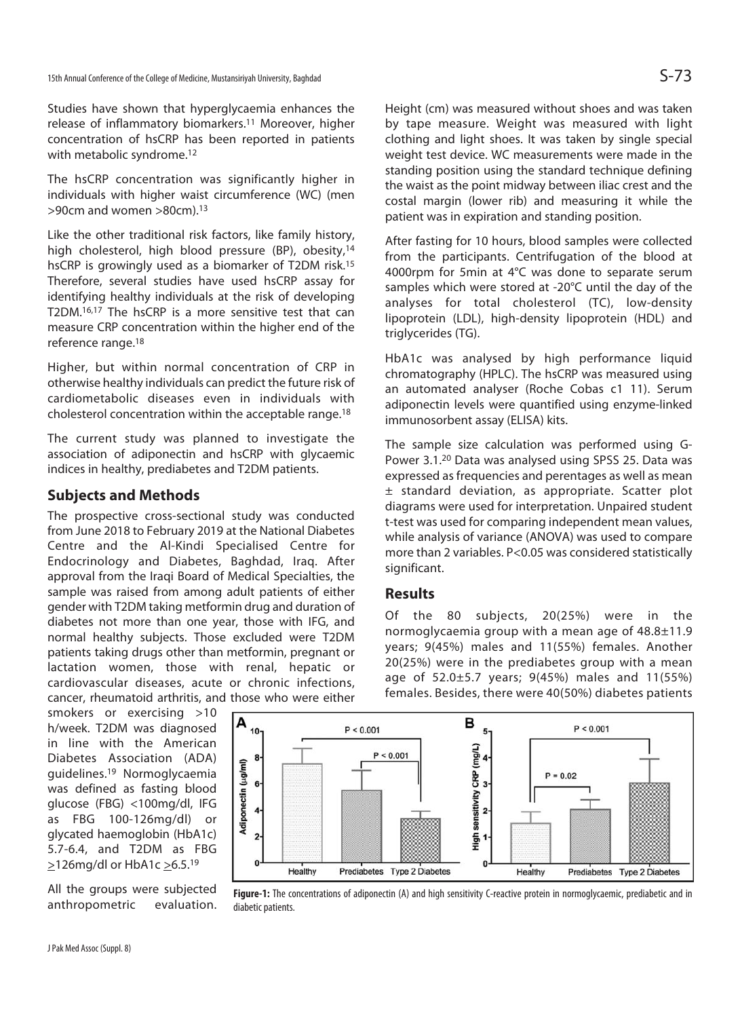Studies have shown that hyperglycaemia enhances the release of inflammatory biomarkers.11 Moreover, higher concentration of hsCRP has been reported in patients with metabolic syndrome.<sup>12</sup>

The hsCRP concentration was significantly higher in individuals with higher waist circumference (WC) (men >90cm and women >80cm).13

Like the other traditional risk factors, like family history, high cholesterol, high blood pressure (BP), obesity,<sup>14</sup> hsCRP is growingly used as a biomarker of T2DM risk.15 Therefore, several studies have used hsCRP assay for identifying healthy individuals at the risk of developing T2DM.16,17 The hsCRP is a more sensitive test that can measure CRP concentration within the higher end of the reference range.18

Higher, but within normal concentration of CRP in otherwise healthy individuals can predict the future risk of cardiometabolic diseases even in individuals with cholesterol concentration within the acceptable range.18

The current study was planned to investigate the association of adiponectin and hsCRP with glycaemic indices in healthy, prediabetes and T2DM patients.

## **Subjects and Methods**

The prospective cross-sectional study was conducted from June 2018 to February 2019 at the National Diabetes Centre and the Al-Kindi Specialised Centre for Endocrinology and Diabetes, Baghdad, Iraq. After approval from the Iraqi Board of Medical Specialties, the sample was raised from among adult patients of either gender with T2DM taking metformin drug and duration of diabetes not more than one year, those with IFG, and normal healthy subjects. Those excluded were T2DM patients taking drugs other than metformin, pregnant or lactation women, those with renal, hepatic or cardiovascular diseases, acute or chronic infections, cancer, rheumatoid arthritis, and those who were either

smokers or exercising >10 h/week. T2DM was diagnosed in line with the American Diabetes Association (ADA) guidelines.19 Normoglycaemia was defined as fasting blood glucose (FBG) <100mg/dl, IFG as FBG 100-126mg/dl) or glycated haemoglobin (HbA1c) 5.7-6.4, and T2DM as FBG  $\geq$ 126mg/dl or HbA1c  $\geq$ 6.5.<sup>19</sup>

All the groups were subjected anthropometric evaluation.

Height (cm) was measured without shoes and was taken by tape measure. Weight was measured with light clothing and light shoes. It was taken by single special weight test device. WC measurements were made in the standing position using the standard technique defining the waist as the point midway between iliac crest and the costal margin (lower rib) and measuring it while the patient was in expiration and standing position.

After fasting for 10 hours, blood samples were collected from the participants. Centrifugation of the blood at 4000rpm for 5min at 4°C was done to separate serum samples which were stored at -20°C until the day of the analyses for total cholesterol (TC), low-density lipoprotein (LDL), high-density lipoprotein (HDL) and triglycerides (TG).

HbA1c was analysed by high performance liquid chromatography (HPLC). The hsCRP was measured using an automated analyser (Roche Cobas c1 11). Serum adiponectin levels were quantified using enzyme-linked immunosorbent assay (ELISA) kits.

The sample size calculation was performed using G-Power 3.1.20 Data was analysed using SPSS 25. Data was expressed as frequencies and perentages as well as mean ± standard deviation, as appropriate. Scatter plot diagrams were used for interpretation. Unpaired student t-test was used for comparing independent mean values, while analysis of variance (ANOVA) was used to compare more than 2 variables. P<0.05 was considered statistically significant.

## **Results**

Of the 80 subjects, 20(25%) were in the normoglycaemia group with a mean age of 48.8±11.9 years; 9(45%) males and 11(55%) females. Another 20(25%) were in the prediabetes group with a mean age of 52.0±5.7 years; 9(45%) males and 11(55%) females. Besides, there were 40(50%) diabetes patients



**Figure-1:** The concentrations of adiponectin (A) and high sensitivity C-reactive protein in normoglycaemic, prediabetic and in diabetic patients.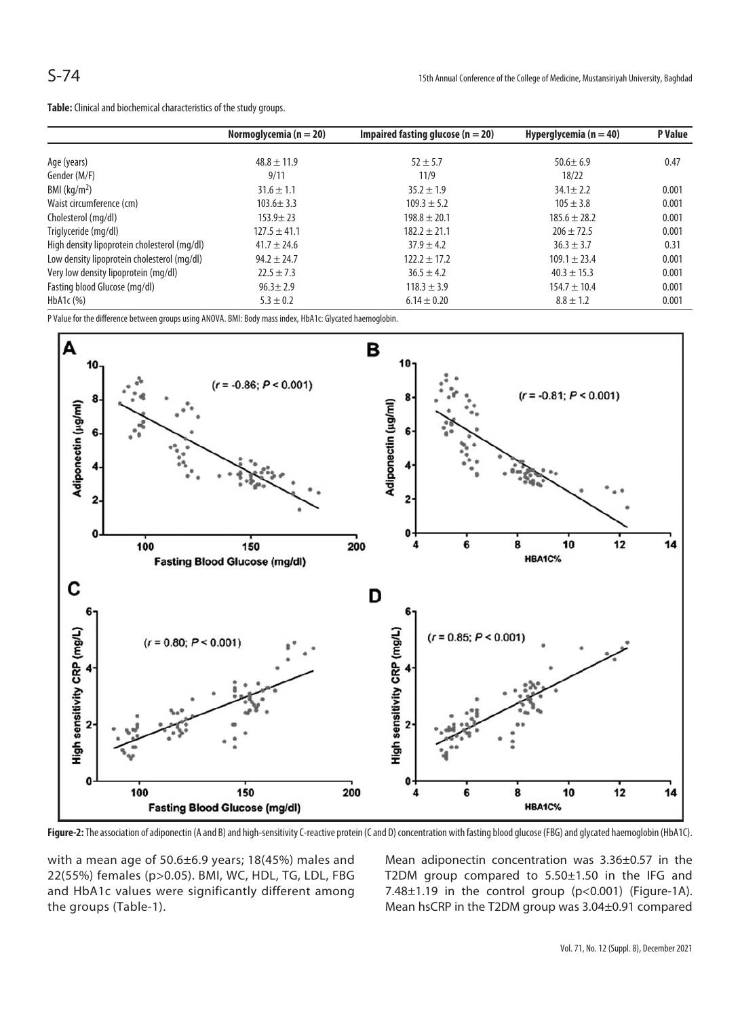**Table:** Clinical and biochemical characteristics of the study groups.

|                                              | Normoglycemia ( $n = 20$ ) | Impaired fasting glucose ( $n = 20$ ) | Hyperglycemia ( $n = 40$ ) | P Value |
|----------------------------------------------|----------------------------|---------------------------------------|----------------------------|---------|
| Age (years)                                  | $48.8 \pm 11.9$            | $52 + 5.7$                            | $50.6 \pm 6.9$             | 0.47    |
| Gender (M/F)                                 | 9/11                       | 11/9                                  | 18/22                      |         |
| BMI ( $\text{kg/m}^2$ )                      | $31.6 \pm 1.1$             | $35.2 \pm 1.9$                        | $34.1 \pm 2.2$             | 0.001   |
| Waist circumference (cm)                     | $103.6 \pm 3.3$            | $109.3 \pm 5.2$                       | $105 \pm 3.8$              | 0.001   |
| Cholesterol (mg/dl)                          | $153.9 \pm 23$             | $198.8 \pm 20.1$                      | $185.6 \pm 28.2$           | 0.001   |
| Triglyceride (mg/dl)                         | $127.5 \pm 41.1$           | $182.2 \pm 21.1$                      | $206 \pm 72.5$             | 0.001   |
| High density lipoprotein cholesterol (mg/dl) | $41.7 \pm 24.6$            | $37.9 \pm 4.2$                        | $36.3 \pm 3.7$             | 0.31    |
| Low density lipoprotein cholesterol (mg/dl)  | $94.2 \pm 24.7$            | $122.2 \pm 17.2$                      | $109.1 \pm 23.4$           | 0.001   |
| Very low density lipoprotein (mg/dl)         | $22.5 \pm 7.3$             | $36.5 \pm 4.2$                        | $40.3 \pm 15.3$            | 0.001   |
| Fasting blood Glucose (mg/dl)                | $96.3 \pm 2.9$             | $118.3 \pm 3.9$                       | $154.7 \pm 10.4$           | 0.001   |
| HbA <sub>1</sub> c $(%)$                     | $5.3 \pm 0.2$              | $6.14 \pm 0.20$                       | $8.8 \pm 1.2$              | 0.001   |

P Value for the difference between groups using ANOVA. BMI: Body mass index, HbA1c: Glycated haemoglobin.



Figure-2: The association of adiponectin (A and B) and high-sensitivity C-reactive protein (C and D) concentration with fasting blood glucose (FBG) and glycated haemoglobin (HbA1C).

with a mean age of 50.6±6.9 years; 18(45%) males and 22(55%) females (p>0.05). BMI, WC, HDL, TG, LDL, FBG and HbA1c values were significantly different among the groups (Table-1).

Mean adiponectin concentration was 3.36±0.57 in the T2DM group compared to 5.50±1.50 in the IFG and 7.48±1.19 in the control group (p<0.001) (Figure-1A). Mean hsCRP in the T2DM group was 3.04±0.91 compared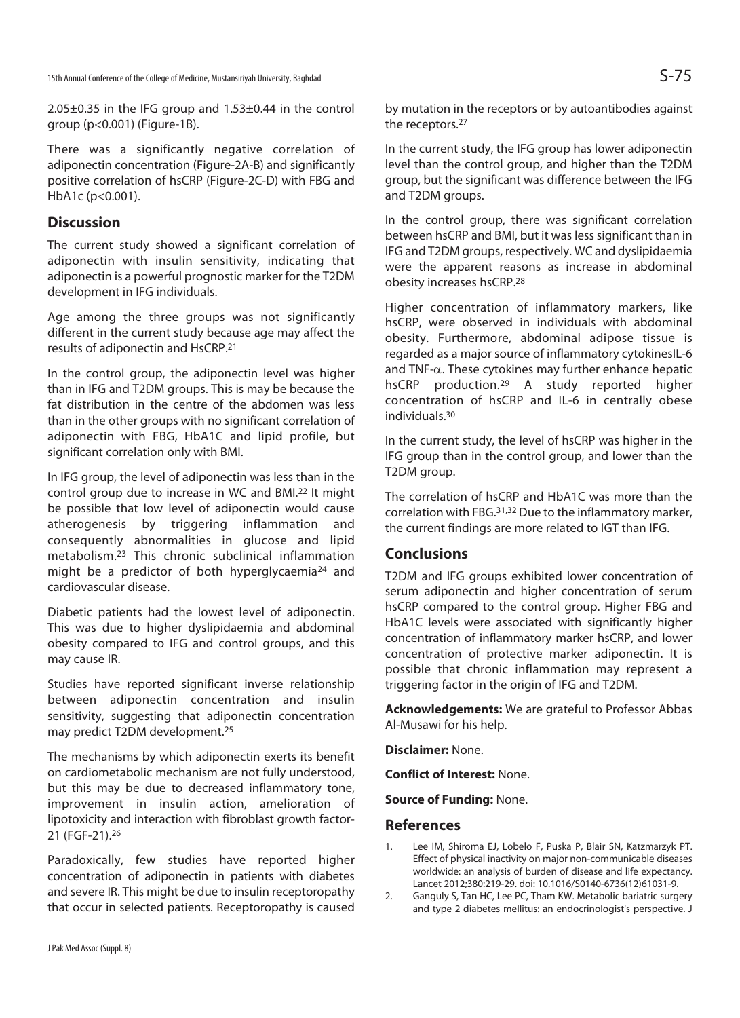2.05±0.35 in the IFG group and 1.53±0.44 in the control group (p<0.001) (Figure-1B).

There was a significantly negative correlation of adiponectin concentration (Figure-2A-B) and significantly positive correlation of hsCRP (Figure-2C-D) with FBG and HbA1c (p<0.001).

#### **Discussion**

The current study showed a significant correlation of adiponectin with insulin sensitivity, indicating that adiponectin is a powerful prognostic marker for the T2DM development in IFG individuals.

Age among the three groups was not significantly different in the current study because age may affect the results of adiponectin and HsCRP.21

In the control group, the adiponectin level was higher than in IFG and T2DM groups. This is may be because the fat distribution in the centre of the abdomen was less than in the other groups with no significant correlation of adiponectin with FBG, HbA1C and lipid profile, but significant correlation only with BMI.

In IFG group, the level of adiponectin was less than in the control group due to increase in WC and BMI.22 It might be possible that low level of adiponectin would cause atherogenesis by triggering inflammation and consequently abnormalities in glucose and lipid metabolism.23 This chronic subclinical inflammation might be a predictor of both hyperglycaemia<sup>24</sup> and cardiovascular disease.

Diabetic patients had the lowest level of adiponectin. This was due to higher dyslipidaemia and abdominal obesity compared to IFG and control groups, and this may cause IR.

Studies have reported significant inverse relationship between adiponectin concentration and insulin sensitivity, suggesting that adiponectin concentration may predict T2DM development.25

The mechanisms by which adiponectin exerts its benefit on cardiometabolic mechanism are not fully understood, but this may be due to decreased inflammatory tone, improvement in insulin action, amelioration of lipotoxicity and interaction with fibroblast growth factor-21 (FGF-21).26

Paradoxically, few studies have reported higher concentration of adiponectin in patients with diabetes and severe IR. This might be due to insulin receptoropathy that occur in selected patients. Receptoropathy is caused by mutation in the receptors or by autoantibodies against the receptors.27

In the current study, the IFG group has lower adiponectin level than the control group, and higher than the T2DM group, but the significant was difference between the IFG and T2DM groups.

In the control group, there was significant correlation between hsCRP and BMI, but it was less significant than in IFG and T2DM groups, respectively. WC and dyslipidaemia were the apparent reasons as increase in abdominal obesity increases hsCRP.28

Higher concentration of inflammatory markers, like hsCRP, were observed in individuals with abdominal obesity. Furthermore, abdominal adipose tissue is regarded as a major source of inflammatory cytokinesIL-6 and TNF- $\alpha$ . These cytokines may further enhance hepatic hsCRP production.29 A study reported higher concentration of hsCRP and IL-6 in centrally obese individuals.30

In the current study, the level of hsCRP was higher in the IFG group than in the control group, and lower than the T2DM group.

The correlation of hsCRP and HbA1C was more than the correlation with FBG.31,32 Due to the inflammatory marker, the current findings are more related to IGT than IFG.

## **Conclusions**

T2DM and IFG groups exhibited lower concentration of serum adiponectin and higher concentration of serum hsCRP compared to the control group. Higher FBG and HbA1C levels were associated with significantly higher concentration of inflammatory marker hsCRP, and lower concentration of protective marker adiponectin. It is possible that chronic inflammation may represent a triggering factor in the origin of IFG and T2DM.

**Acknowledgements:** We are grateful to Professor Abbas Al-Musawi for his help.

**Disclaimer:** None.

**Conflict of Interest:** None.

**Source of Funding:** None.

#### **References**

- 1. Lee IM, Shiroma EJ, Lobelo F, Puska P, Blair SN, Katzmarzyk PT. Effect of physical inactivity on major non-communicable diseases worldwide: an analysis of burden of disease and life expectancy. Lancet 2012;380:219-29. doi: 10.1016/S0140-6736(12)61031-9.
- 2. Ganguly S, Tan HC, Lee PC, Tham KW. Metabolic bariatric surgery and type 2 diabetes mellitus: an endocrinologist's perspective. J